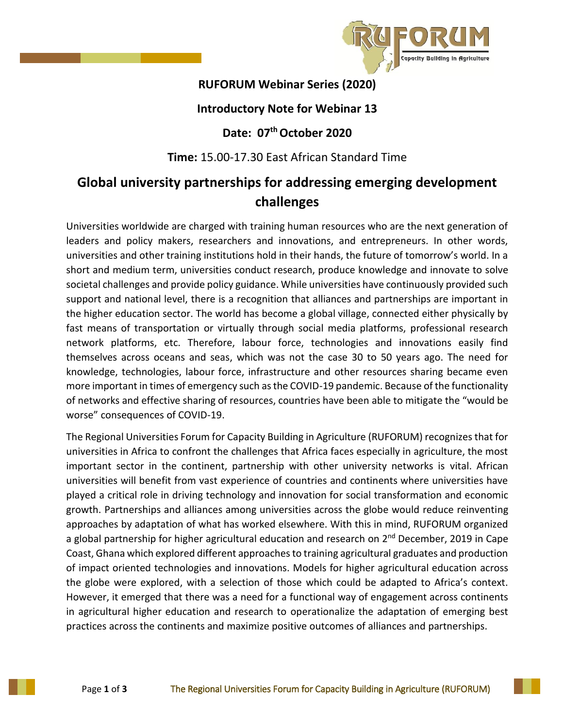

## **RUFORUM Webinar Series (2020)**

### **Introductory Note for Webinar 13**

## **Date: 07th October 2020**

#### **Time:** 15.00-17.30 East African Standard Time

# **Global university partnerships for addressing emerging development challenges**

Universities worldwide are charged with training human resources who are the next generation of leaders and policy makers, researchers and innovations, and entrepreneurs. In other words, universities and other training institutions hold in their hands, the future of tomorrow's world. In a short and medium term, universities conduct research, produce knowledge and innovate to solve societal challenges and provide policy guidance. While universities have continuously provided such support and national level, there is a recognition that alliances and partnerships are important in the higher education sector. The world has become a global village, connected either physically by fast means of transportation or virtually through social media platforms, professional research network platforms, etc. Therefore, labour force, technologies and innovations easily find themselves across oceans and seas, which was not the case 30 to 50 years ago. The need for knowledge, technologies, labour force, infrastructure and other resources sharing became even more important in times of emergency such as the COVID-19 pandemic. Because of the functionality of networks and effective sharing of resources, countries have been able to mitigate the "would be worse" consequences of COVID-19.

The Regional Universities Forum for Capacity Building in Agriculture (RUFORUM) recognizes that for universities in Africa to confront the challenges that Africa faces especially in agriculture, the most important sector in the continent, partnership with other university networks is vital. African universities will benefit from vast experience of countries and continents where universities have played a critical role in driving technology and innovation for social transformation and economic growth. Partnerships and alliances among universities across the globe would reduce reinventing approaches by adaptation of what has worked elsewhere. With this in mind, RUFORUM organized a global partnership for higher agricultural education and research on 2<sup>nd</sup> December, 2019 in Cape Coast, Ghana which explored different approaches to training agricultural graduates and production of impact oriented technologies and innovations. Models for higher agricultural education across the globe were explored, with a selection of those which could be adapted to Africa's context. However, it emerged that there was a need for a functional way of engagement across continents in agricultural higher education and research to operationalize the adaptation of emerging best practices across the continents and maximize positive outcomes of alliances and partnerships.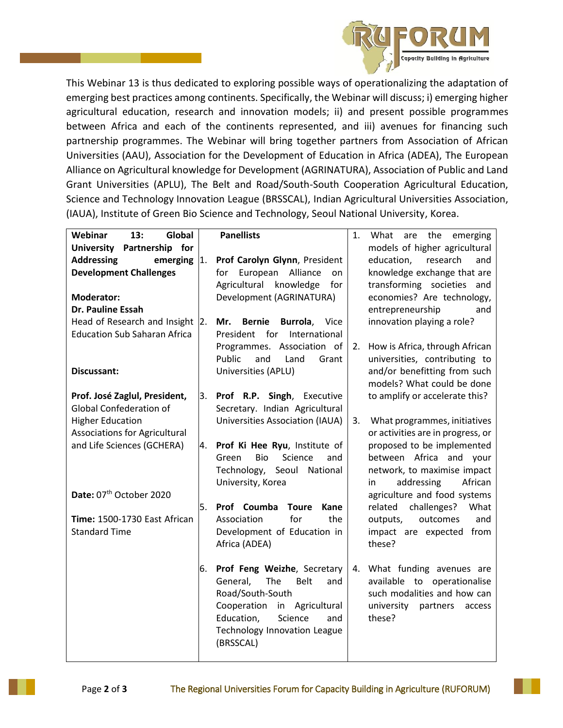

This Webinar 13 is thus dedicated to exploring possible ways of operationalizing the adaptation of emerging best practices among continents. Specifically, the Webinar will discuss; i) emerging higher agricultural education, research and innovation models; ii) and present possible programmes between Africa and each of the continents represented, and iii) avenues for financing such partnership programmes. The Webinar will bring together partners from Association of African Universities (AAU), Association for the Development of Education in Africa (ADEA), The European Alliance on Agricultural knowledge for Development (AGRINATURA), Association of Public and Land Grant Universities (APLU), The Belt and Road/South-South Cooperation Agricultural Education, Science and Technology Innovation League (BRSSCAL), Indian Agricultural Universities Association, (IAUA), Institute of Green Bio Science and Technology, Seoul National University, Korea.

| Webinar<br>13:<br>Global             | <b>Panellists</b>                           | are the emerging<br>1.<br>What       |  |  |  |  |  |
|--------------------------------------|---------------------------------------------|--------------------------------------|--|--|--|--|--|
| <b>University</b><br>Partnership for |                                             | models of higher agricultural        |  |  |  |  |  |
| <b>Addressing</b><br>emerging        | $\vert$ 1.<br>Prof Carolyn Glynn, President | education,<br>research<br>and        |  |  |  |  |  |
| <b>Development Challenges</b>        | European<br>Alliance<br>for<br>on           | knowledge exchange that are          |  |  |  |  |  |
|                                      | Agricultural knowledge<br>for               | transforming societies and           |  |  |  |  |  |
| <b>Moderator:</b>                    | Development (AGRINATURA)                    | economies? Are technology,           |  |  |  |  |  |
| <b>Dr. Pauline Essah</b>             |                                             | entrepreneurship<br>and              |  |  |  |  |  |
| Head of Research and Insight 2.      | <b>Bernie</b><br>Mr.<br>Burrola,<br>Vice    | innovation playing a role?           |  |  |  |  |  |
| <b>Education Sub Saharan Africa</b>  | for<br>President<br>International           |                                      |  |  |  |  |  |
|                                      | Programmes. Association of                  | How is Africa, through African<br>2. |  |  |  |  |  |
|                                      | Public<br>and<br>Land<br>Grant              | universities, contributing to        |  |  |  |  |  |
| Discussant:                          | Universities (APLU)                         | and/or benefitting from such         |  |  |  |  |  |
|                                      |                                             | models? What could be done           |  |  |  |  |  |
| Prof. José Zaglul, President,        | 3.<br>Prof R.P. Singh, Executive            | to amplify or accelerate this?       |  |  |  |  |  |
| <b>Global Confederation of</b>       | Secretary. Indian Agricultural              |                                      |  |  |  |  |  |
| <b>Higher Education</b>              | Universities Association (IAUA)             | 3.<br>What programmes, initiatives   |  |  |  |  |  |
| <b>Associations for Agricultural</b> |                                             | or activities are in progress, or    |  |  |  |  |  |
| and Life Sciences (GCHERA)           | Prof Ki Hee Ryu, Institute of<br>4.         | proposed to be implemented           |  |  |  |  |  |
|                                      | Bio<br>Science<br>Green<br>and              | between Africa and your              |  |  |  |  |  |
|                                      | Technology, Seoul National                  | network, to maximise impact          |  |  |  |  |  |
|                                      | University, Korea                           | addressing<br>African<br>in          |  |  |  |  |  |
| Date: 07th October 2020              |                                             | agriculture and food systems         |  |  |  |  |  |
|                                      | 5.<br>Prof Coumba<br><b>Toure</b><br>Kane   | challenges?<br>related<br>What       |  |  |  |  |  |
| Time: 1500-1730 East African         | the<br>Association<br>for                   | outcomes<br>and<br>outputs,          |  |  |  |  |  |
| <b>Standard Time</b>                 | Development of Education in                 | impact are expected from             |  |  |  |  |  |
|                                      | Africa (ADEA)                               | these?                               |  |  |  |  |  |
|                                      |                                             |                                      |  |  |  |  |  |
|                                      | 6.<br>Prof Feng Weizhe, Secretary           | What funding avenues are<br>4.       |  |  |  |  |  |
|                                      | General,<br>The<br><b>Belt</b><br>and       | available to operationalise          |  |  |  |  |  |
|                                      | Road/South-South                            | such modalities and how can          |  |  |  |  |  |
|                                      | Cooperation in Agricultural                 | university<br>partners<br>access     |  |  |  |  |  |
|                                      | Science<br>Education,<br>and                | these?                               |  |  |  |  |  |
|                                      | <b>Technology Innovation League</b>         |                                      |  |  |  |  |  |
|                                      | (BRSSCAL)                                   |                                      |  |  |  |  |  |
|                                      |                                             |                                      |  |  |  |  |  |